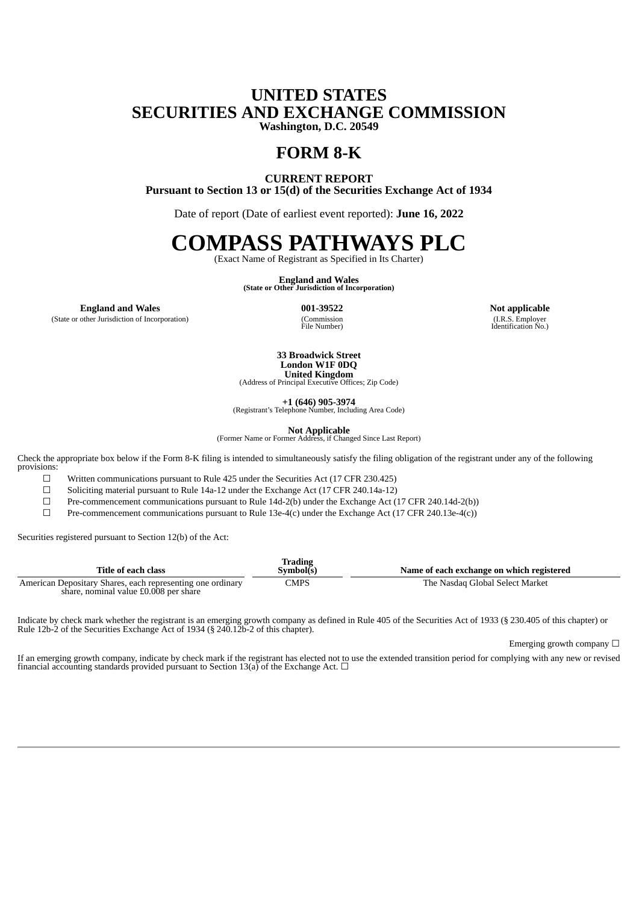## **UNITED STATES SECURITIES AND EXCHANGE COMMISSION Washington, D.C. 20549**

**FORM 8-K**

**CURRENT REPORT Pursuant to Section 13 or 15(d) of the Securities Exchange Act of 1934**

Date of report (Date of earliest event reported): **June 16, 2022**

## **COMPASS PATHWAYS PLC**

(Exact Name of Registrant as Specified in Its Charter)

**England and Wales (State or Other Jurisdiction of Incorporation)**

**England and Wales 001-39522 Not applicable**

(State or other Jurisdiction of Incorporation)

(Commission)<br>File Number)

(I.R.S. Employer Identification No.)

**33 Broadwick Street London W1F 0DQ United Kingdom** (Address of Principal Executive Offices; Zip Code)

**+1 (646) 905-3974**

(Registrant's Telephone Number, Including Area Code)

**Not Applicable** (Former Name or Former Address, if Changed Since Last Report)

Check the appropriate box below if the Form 8-K filing is intended to simultaneously satisfy the filing obligation of the registrant under any of the following provisions:

 $\Box$  Written communications pursuant to Rule 425 under the Securities Act (17 CFR 230.425)

☐ Soliciting material pursuant to Rule 14a-12 under the Exchange Act (17 CFR 240.14a-12)

□ Pre-commencement communications pursuant to Rule 14d-2(b) under the Exchange Act (17 CFR 240.14d-2(b))

Pre-commencement communications pursuant to Rule 13e-4(c) under the Exchange Act (17 CFR 240.13e-4(c))

Securities registered pursuant to Section 12(b) of the Act:

| Title of each class                                                                                 | <b>Trading</b><br>Svmbol(s) | Name of each exchange on which registered |
|-----------------------------------------------------------------------------------------------------|-----------------------------|-------------------------------------------|
| American Depositary Shares, each representing one ordinary<br>share, nominal value £0.008 per share | CMPS                        | The Nasdag Global Select Market           |

Indicate by check mark whether the registrant is an emerging growth company as defined in Rule 405 of the Securities Act of 1933 (§ 230.405 of this chapter) or Rule 12b-2 of the Securities Exchange Act of 1934 (§ 240.12b-2 of this chapter).

Emerging growth company  $\Box$ 

If an emerging growth company, indicate by check mark if the registrant has elected not to use the extended transition period for complying with any new or revised financial accounting standards provided pursuant to Section 13(a) of the Exchange Act.  $\Box$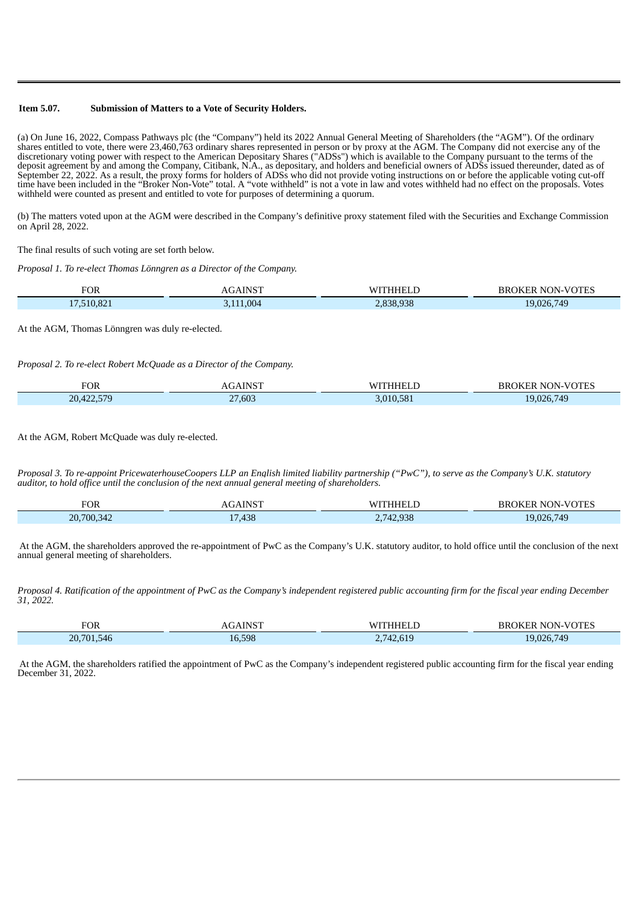## **Item 5.07. Submission of Matters to a Vote of Security Holders.**

(a) On June 16, 2022, Compass Pathways plc (the "Company") held its 2022 Annual General Meeting of Shareholders (the "AGM"). Of the ordinary shares entitled to vote, there were 23,460,763 ordinary shares represented in person or by proxy at the AGM. The Company did not exercise any of the discretionary voting power with respect to the American Depositary Shares ("ADSs") which is available to the Company pursuant to the terms of the deposit agreement by and among the Company, Citibank, N.A., as depositary, and holders and beneficial owners of ADSs issued thereunder, dated as of September 22, 2022. As a result, the proxy forms for holders of ADSs who did not provide voting instructions on or before the applicable voting cut-off time have been included in the "Broker Non-Vote" total. A "vote withheld" is not a vote in law and votes withheld had no effect on the proposals. Votes withheld were counted as present and entitled to vote for purposes of determining a quorum.

(b) The matters voted upon at the AGM were described in the Company's definitive proxy statement filed with the Securities and Exchange Commission on April 28, 2022.

The final results of such voting are set forth below.

*Proposal 1. To re-elect Thomas Lönngren as a Director of the Company.*

| <b>FOR</b> | $-$ -    | W. | вь<br>эĸ<br>NI |
|------------|----------|----|----------------|
|            | $\Omega$ |    | 749<br>በንፍ     |

At the AGM, Thomas Lönngren was duly re-elected.

*Proposal 2. To re-elect Robert McQuade as a Director of the Company.*

| FOR   | ATMCT                 | LΛ.                 | BR!<br>NON-<br>1K |
|-------|-----------------------|---------------------|-------------------|
| 20,42 | ,603<br>$\sim$ $\sim$ | $0.10 \text{ F}0.1$ | 740<br>74 C       |

At the AGM, Robert McQuade was duly re-elected.

Proposal 3. To re-appoint PricewaterhouseCoopers LLP an Enalish limited liability partnership ("PwC"), to serve as the Company's U.K. statutory *auditor, to hold office until the conclusion of the next annual general meeting of shareholders.*

| TOR                  | <b>INICT</b> | W.<br>-<br>L L                                          | $V\cap TEC$<br>ВR<br>NO<br>'NN<br><b>IK 1</b><br>$ -$ |
|----------------------|--------------|---------------------------------------------------------|-------------------------------------------------------|
| 20,700,342<br>$-34.$ | ,438         | 020<br>$\prime$ $\Lambda$ .<br>42,938<br>$\sim \cdot$ / | 749<br>- -                                            |

At the AGM, the shareholders approved the re-appointment of PwC as the Company's U.K. statutory auditor, to hold office until the conclusion of the next annual general meeting of shareholders.

Proposal 4. Ratification of the appointment of PwC as the Company's independent registered public accounting firm for the fiscal year ending December *31, 2022.*

| <b>FOR</b>                 | TCT    | ۱A.      | <b>IN</b><br>w<br>אמ<br>- Eri |
|----------------------------|--------|----------|-------------------------------|
| .546<br>∩ר<br>1701<br>$-0$ | 16.598 | $\prime$ | 740<br>IQ በጋፎ                 |

At the AGM, the shareholders ratified the appointment of PwC as the Company's independent registered public accounting firm for the fiscal year ending December 31, 2022.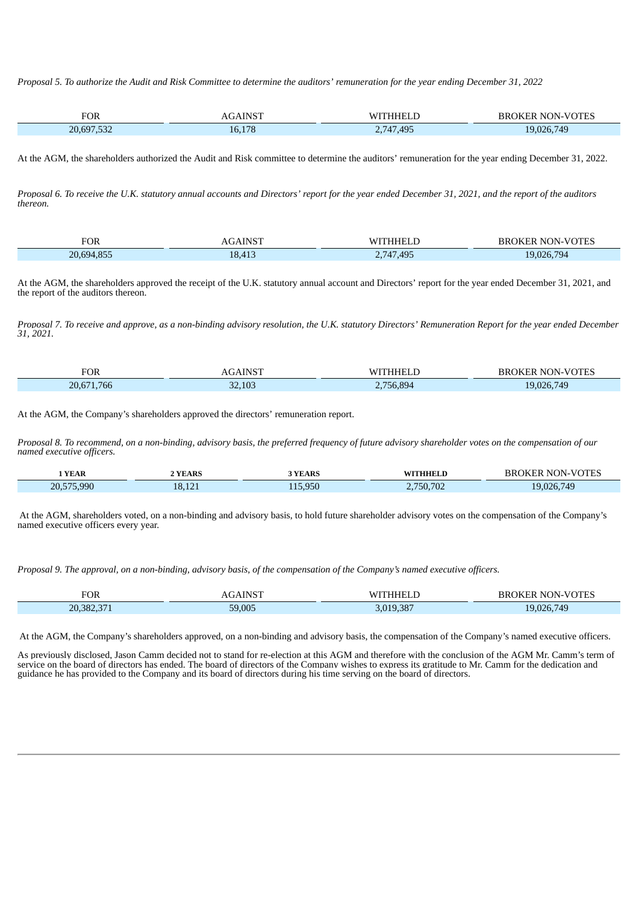Proposal 5. To authorize the Audit and Risk Committee to determine the auditors' remuneration for the year ending December 31, 2022

| <b>FOR</b> | . NICT     | w    | n.<br><b>NI</b><br>١k<br>ΧK |
|------------|------------|------|-----------------------------|
| 20.6       | 178        | ADF  | $\mathbf{v}$                |
| n r        | $\sqrt{ }$ | 71 U |                             |
| ັ          | Lb.        | 71   |                             |

At the AGM, the shareholders authorized the Audit and Risk committee to determine the auditors' remuneration for the year ending December 31, 2022.

Proposal 6. To receive the U.K. statutory annual accounts and Directors' report for the year ended December 31, 2021, and the report of the auditors *thereon.*

| $F\cap F$<br>- 1<br>UK. |                       | $\mathbf{M}$      | m         |
|-------------------------|-----------------------|-------------------|-----------|
| $- - -$<br>20.6         | 0<br><b>ALC: 1979</b> | AQF<br>71.<br>- 7 | 794<br>ገር |

At the AGM, the shareholders approved the receipt of the U.K. statutory annual account and Directors' report for the year ended December 31, 2021, and the report of the auditors thereon.

Proposal 7. To receive and approve, as a non-binding advisory resolution, the U.K. statutory Directors' Remuneration Report for the year ended December *31, 2021.*

| <b>FOR</b> | A TATCT<br>. | $\mathbf{A}$ | BR<br>$'$ IN-V.<br>N.<br>JK E.R<br>بانكلا |
|------------|--------------|--------------|-------------------------------------------|
| .766       | .103         | 0.894        | 026 749                                   |
| 20,671     | $\sim$       | $H - C$      |                                           |

At the AGM, the Company's shareholders approved the directors' remuneration report.

Proposal 8. To recommend, on a non-binding, advisory basis, the preferred frequency of future advisory shareholder votes on the compensation of our *named executive officers.*

| YEAR       | <b>YEARS</b> | <b>YEARS</b>                   | ™™HHEL…                 | <b>NOTES</b><br>NN.<br>N.<br>BК.<br>TK F.K |
|------------|--------------|--------------------------------|-------------------------|--------------------------------------------|
| 20,575,990 | $\sim$<br>R  | $\Omega$<br>$\sim$ $-$<br>.95U | $H^{\alpha}$<br>'50,702 | 749                                        |

At the AGM, shareholders voted, on a non-binding and advisory basis, to hold future shareholder advisory votes on the compensation of the Company's named executive officers every year.

Proposal 9. The approval, on a non-binding, advisory basis, of the compensation of the Company's named executive officers.

| <b>FOR</b>         | <b>INICT</b><br>- - |           | $\sim$ NON-VOTT<br><b>BROK</b><br>''I'E.<br>н. |
|--------------------|---------------------|-----------|------------------------------------------------|
| 20.382.371<br>ZU.J | 59,005              | 3.019.387 | 749<br>026.<br>- 1. 1. 1<br>т. .               |

At the AGM, the Company's shareholders approved, on a non-binding and advisory basis, the compensation of the Company's named executive officers.

As previously disclosed, Jason Camm decided not to stand for re-election at this AGM and therefore with the conclusion of the AGM Mr. Camm's term of service on the board of directors has ended. The board of directors of the Company wishes to express its gratitude to Mr. Camm for the dedication and guidance he has provided to the Company and its board of directors during his time serving on the board of directors.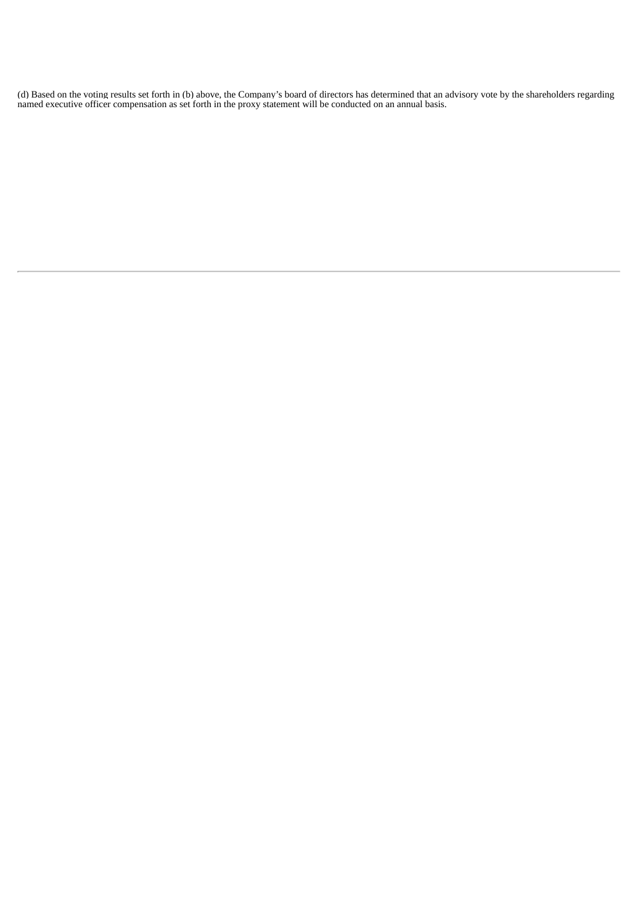(d) Based on the voting results set forth in (b) above, the Company's board of directors has determined that an advisory vote by the shareholders regarding named executive officer compensation as set forth in the proxy statement will be conducted on an annual basis.